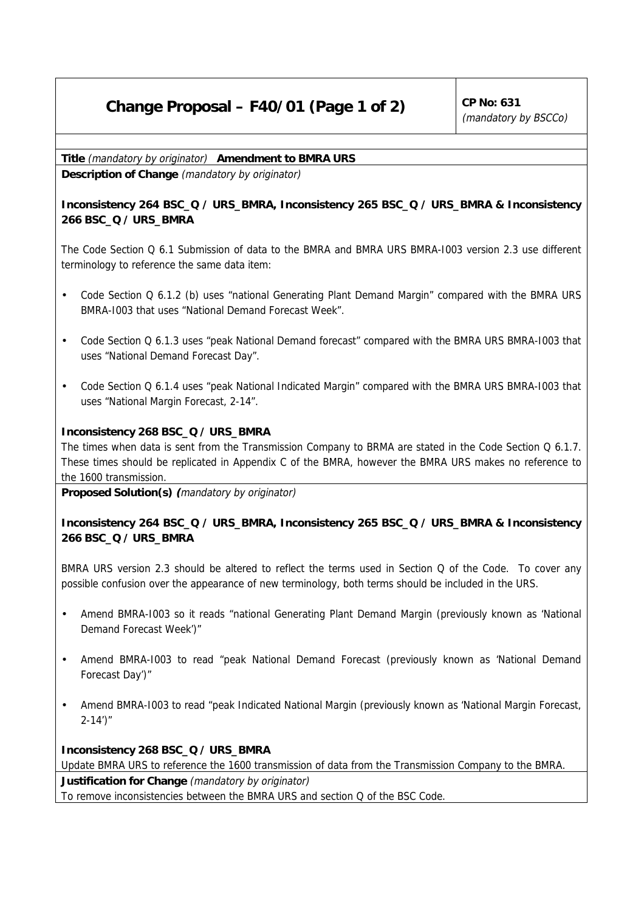## **Change Proposal – F40/01 (Page 1 of 2)**  $\vert$  CP No: 631

(mandatory by BSCCo)

**Title** (mandatory by originator) **Amendment to BMRA URS**

**Description of Change** (mandatory by originator)

**Inconsistency 264 BSC\_Q / URS\_BMRA, Inconsistency 265 BSC\_Q / URS\_BMRA & Inconsistency 266 BSC\_Q / URS\_BMRA**

The Code Section Q 6.1 Submission of data to the BMRA and BMRA URS BMRA-I003 version 2.3 use different terminology to reference the same data item:

- Code Section Q 6.1.2 (b) uses "national Generating Plant Demand Margin" compared with the BMRA URS BMRA-I003 that uses "National Demand Forecast Week".
- Code Section Q 6.1.3 uses "peak National Demand forecast" compared with the BMRA URS BMRA-I003 that uses "National Demand Forecast Day".
- Code Section Q 6.1.4 uses "peak National Indicated Margin" compared with the BMRA URS BMRA-I003 that uses "National Margin Forecast, 2-14".

## **Inconsistency 268 BSC\_Q / URS\_BMRA**

The times when data is sent from the Transmission Company to BRMA are stated in the Code Section Q 6.1.7. These times should be replicated in Appendix C of the BMRA, however the BMRA URS makes no reference to the 1600 transmission.

**Proposed Solution(s) (**mandatory by originator)

## **Inconsistency 264 BSC\_Q / URS\_BMRA, Inconsistency 265 BSC\_Q / URS\_BMRA & Inconsistency 266 BSC\_Q / URS\_BMRA**

BMRA URS version 2.3 should be altered to reflect the terms used in Section Q of the Code. To cover any possible confusion over the appearance of new terminology, both terms should be included in the URS.

- Amend BMRA-I003 so it reads "national Generating Plant Demand Margin (previously known as 'National Demand Forecast Week')"
- Amend BMRA-I003 to read "peak National Demand Forecast (previously known as 'National Demand Forecast Day')"
- Amend BMRA-I003 to read "peak Indicated National Margin (previously known as 'National Margin Forecast,  $2 - 14'$

## **Inconsistency 268 BSC\_Q / URS\_BMRA**

Update BMRA URS to reference the 1600 transmission of data from the Transmission Company to the BMRA. **Justification for Change** (mandatory by originator) To remove inconsistencies between the BMRA URS and section Q of the BSC Code.